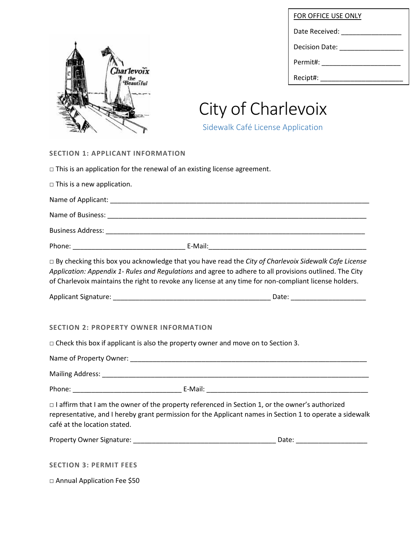

| FOR OFFICE USE ONLY                 |
|-------------------------------------|
| Date Received: _________________    |
| Decision Date: <u>_____________</u> |
|                                     |
| Recipt#:                            |

# City of Charlevoix

Sidewalk Café License Application

## **SECTION 1: APPLICANT INFORMATION**

|                                              | $\Box$ This is an application for the renewal of an existing license agreement.                                                                                                                                                                                                                                                  |
|----------------------------------------------|----------------------------------------------------------------------------------------------------------------------------------------------------------------------------------------------------------------------------------------------------------------------------------------------------------------------------------|
| $\Box$ This is a new application.            |                                                                                                                                                                                                                                                                                                                                  |
|                                              |                                                                                                                                                                                                                                                                                                                                  |
|                                              |                                                                                                                                                                                                                                                                                                                                  |
|                                              |                                                                                                                                                                                                                                                                                                                                  |
|                                              |                                                                                                                                                                                                                                                                                                                                  |
|                                              | $\Box$ By checking this box you acknowledge that you have read the City of Charlevoix Sidewalk Cafe License<br>Application: Appendix 1- Rules and Regulations and agree to adhere to all provisions outlined. The City<br>of Charlevoix maintains the right to revoke any license at any time for non-compliant license holders. |
|                                              |                                                                                                                                                                                                                                                                                                                                  |
| <b>SECTION 2: PROPERTY OWNER INFORMATION</b> | $\Box$ Check this box if applicant is also the property owner and move on to Section 3.                                                                                                                                                                                                                                          |
|                                              |                                                                                                                                                                                                                                                                                                                                  |
| café at the location stated.                 | $\Box$ I affirm that I am the owner of the property referenced in Section 1, or the owner's authorized<br>representative, and I hereby grant permission for the Applicant names in Section 1 to operate a sidewalk                                                                                                               |
|                                              |                                                                                                                                                                                                                                                                                                                                  |
| <b>SECTION 3: PERMIT FEES</b>                |                                                                                                                                                                                                                                                                                                                                  |
| □ Annual Application Fee \$50                |                                                                                                                                                                                                                                                                                                                                  |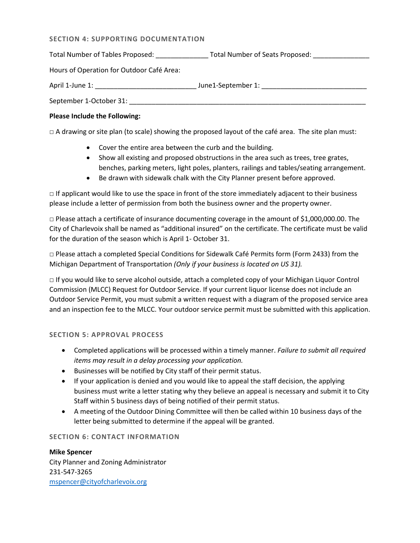### **SECTION 4: SUPPORTING DOCUMENTATION**

Total Number of Tables Proposed: \_\_\_\_\_\_\_\_\_\_\_\_\_\_\_\_\_\_\_\_Total Number of Seats Proposed: \_\_\_\_\_\_\_\_\_\_\_\_\_\_\_

Hours of Operation for Outdoor Café Area:

April 1-June 1: \_\_\_\_\_\_\_\_\_\_\_\_\_\_\_\_\_\_\_\_\_\_\_\_\_\_\_ June1-September 1: \_\_\_\_\_\_\_\_\_\_\_\_\_\_\_\_\_\_\_\_\_\_\_\_\_\_\_\_

September 1-October 31: \_\_\_\_\_\_\_\_\_\_\_\_\_\_\_\_\_\_\_\_\_\_\_\_\_\_\_\_\_\_\_\_\_\_\_\_\_\_\_\_\_\_\_\_\_\_\_\_\_\_\_\_\_\_\_\_\_\_\_\_\_\_\_

## **Please Include the Following:**

 $\Box$  A drawing or site plan (to scale) showing the proposed layout of the café area. The site plan must:

- Cover the entire area between the curb and the building.
- Show all existing and proposed obstructions in the area such as trees, tree grates, benches, parking meters, light poles, planters, railings and tables/seating arrangement.
- Be drawn with sidewalk chalk with the City Planner present before approved.

 $\Box$  If applicant would like to use the space in front of the store immediately adjacent to their business please include a letter of permission from both the business owner and the property owner.

 $\Box$  Please attach a certificate of insurance documenting coverage in the amount of \$1,000,000.00. The City of Charlevoix shall be named as "additional insured" on the certificate. The certificate must be valid for the duration of the season which is April 1- October 31.

□ Please attach a completed Special Conditions for Sidewalk Café Permits form (Form 2433) from the Michigan Department of Transportation *(Only if your business is located on US 31).*

□ If you would like to serve alcohol outside, attach a completed copy of your Michigan Liquor Control Commission (MLCC) Request for Outdoor Service. If your current liquor license does not include an Outdoor Service Permit, you must submit a written request with a diagram of the proposed service area and an inspection fee to the MLCC. Your outdoor service permit must be submitted with this application.

### **SECTION 5: APPROVAL PROCESS**

- Completed applications will be processed within a timely manner. *Failure to submit all required items may result in a delay processing your application.*
- Businesses will be notified by City staff of their permit status.
- If your application is denied and you would like to appeal the staff decision, the applying business must write a letter stating why they believe an appeal is necessary and submit it to City Staff within 5 business days of being notified of their permit status.
- A meeting of the Outdoor Dining Committee will then be called within 10 business days of the letter being submitted to determine if the appeal will be granted.

## **SECTION 6: CONTACT INFORMATION**

**Mike Spencer** City Planner and Zoning Administrator 231-547-3265 [mspencer@cityofcharlevoix.org](mailto:mspencer@cityofcharlevoix.org)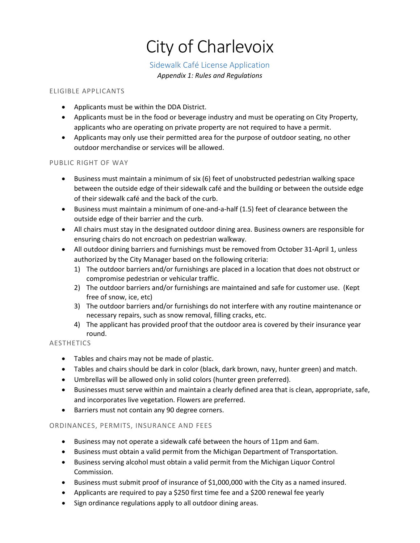## City of Charlevoix

## Sidewalk Café License Application

*Appendix 1: Rules and Regulations* 

## ELIGIBLE APPLICANTS

- Applicants must be within the DDA District.
- Applicants must be in the food or beverage industry and must be operating on City Property, applicants who are operating on private property are not required to have a permit.
- Applicants may only use their permitted area for the purpose of outdoor seating, no other outdoor merchandise or services will be allowed.

## PUBLIC RIGHT OF WAY

- Business must maintain a minimum of six (6) feet of unobstructed pedestrian walking space between the outside edge of their sidewalk café and the building or between the outside edge of their sidewalk café and the back of the curb.
- Business must maintain a minimum of one-and-a-half (1.5) feet of clearance between the outside edge of their barrier and the curb.
- All chairs must stay in the designated outdoor dining area. Business owners are responsible for ensuring chairs do not encroach on pedestrian walkway.
- All outdoor dining barriers and furnishings must be removed from October 31-April 1, unless authorized by the City Manager based on the following criteria:
	- 1) The outdoor barriers and/or furnishings are placed in a location that does not obstruct or compromise pedestrian or vehicular traffic.
	- 2) The outdoor barriers and/or furnishings are maintained and safe for customer use. (Kept free of snow, ice, etc)
	- 3) The outdoor barriers and/or furnishings do not interfere with any routine maintenance or necessary repairs, such as snow removal, filling cracks, etc.
	- 4) The applicant has provided proof that the outdoor area is covered by their insurance year round.

## AESTHETICS

- Tables and chairs may not be made of plastic.
- Tables and chairs should be dark in color (black, dark brown, navy, hunter green) and match.
- Umbrellas will be allowed only in solid colors (hunter green preferred).
- Businesses must serve within and maintain a clearly defined area that is clean, appropriate, safe, and incorporates live vegetation. Flowers are preferred.
- Barriers must not contain any 90 degree corners.

## ORDINANCES, PERMITS, INSURANCE AND FEES

- Business may not operate a sidewalk café between the hours of 11pm and 6am.
- Business must obtain a valid permit from the Michigan Department of Transportation.
- Business serving alcohol must obtain a valid permit from the Michigan Liquor Control Commission.
- Business must submit proof of insurance of \$1,000,000 with the City as a named insured.
- Applicants are required to pay a \$250 first time fee and a \$200 renewal fee yearly
- Sign ordinance regulations apply to all outdoor dining areas.